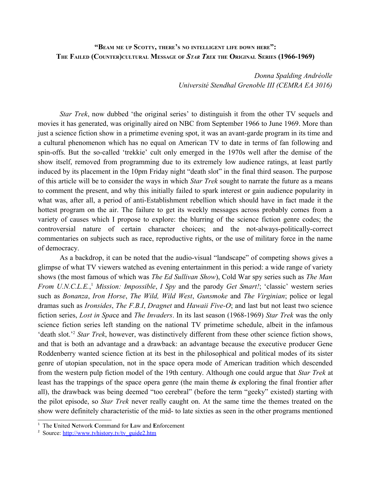# **"BEAM ME UP SCOTTY, THERE'<sup>S</sup> NO INTELLIGENT LIFE DOWN HERE":** THE FAILED (COUNTER)CULTURAL MESSAGE OF STAR TREK THE ORIGINAL SERIES (1966-1969)

*Donna Spalding Andréolle Université Stendhal Grenoble III (CEMRA EA 3016)*

*Star Trek*, now dubbed 'the original series' to distinguish it from the other TV sequels and movies it has generated, was originally aired on NBC from September 1966 to June 1969. More than just a science fiction show in a primetime evening spot, it was an avant-garde program in its time and a cultural phenomenon which has no equal on American TV to date in terms of fan following and spin-offs. But the so-called 'trekkie' cult only emerged in the 1970s well after the demise of the show itself, removed from programming due to its extremely low audience ratings, at least partly induced by its placement in the 10pm Friday night "death slot" in the final third season. The purpose of this article will be to consider the ways in which *Star Trek* sought to narrate the future as a means to comment the present, and why this initially failed to spark interest or gain audience popularity in what was, after all, a period of anti-Establishment rebellion which should have in fact made it the hottest program on the air. The failure to get its weekly messages across probably comes from a variety of causes which I propose to explore: the blurring of the science fiction genre codes; the controversial nature of certain character choices; and the not-always-politically-correct commentaries on subjects such as race, reproductive rights, or the use of military force in the name of democracy.

As a backdrop, it can be noted that the audio-visual "landscape" of competing shows gives a glimpse of what TV viewers watched as evening entertainment in this period: a wide range of variety shows (the most famous of which was *The Ed Sullivan Show*), Cold War spy series such as *The Man From U.N.C.L.E.*, [1](#page-0-0) *Mission: Impossible*, *I Spy* and the parody *Get Smart!*; 'classic' western series such as *Bonanza*, *Iron Horse*, *The Wild, Wild West*, *Gunsmoke* and *The Virginian*; police or legal dramas such as *Ironsides*, *The F.B.I*, *Dragnet* and *Hawaii Five-O*; and last but not least two science fiction series, *Lost in Spa*ce and *The Invaders*. In its last season (1968-1969) *Star Trek* was the only science fiction series left standing on the national TV primetime schedule, albeit in the infamous 'death slot.'[2](#page-0-1) *Star Trek*, however, was distinctively different from these other science fiction shows, and that is both an advantage and a drawback: an advantage because the executive producer Gene Roddenberry wanted science fiction at its best in the philosophical and political modes of its sister genre of utopian speculation, not in the space opera mode of American tradition which descended from the western pulp fiction model of the 19th century. Although one could argue that *Star Trek* at least has the trappings of the space opera genre (the main theme *is* exploring the final frontier after all), the drawback was being deemed "too cerebral" (before the term "geeky" existed) starting with the pilot episode, so *Star Trek* never really caught on. At the same time the themes treated on the show were definitely characteristic of the mid- to late sixties as seen in the other programs mentioned

<span id="page-0-0"></span><sup>1</sup> The **U**nited **N**etwork **C**ommand for **L**aw and **E**nforcement

<span id="page-0-1"></span><sup>&</sup>lt;sup>2</sup> Source: [http://www.tvhistory.tv/tv\\_guide2.htm](http://www.tvhistory.tv/tv_guide2.htm)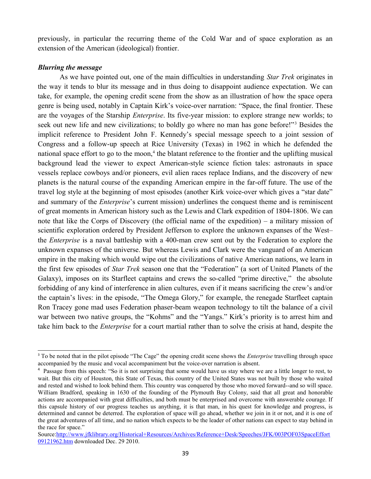previously, in particular the recurring theme of the Cold War and of space exploration as an extension of the American (ideological) frontier.

### *Blurring the message*

As we have pointed out, one of the main difficulties in understanding *Star Trek* originates in the way it tends to blur its message and in thus doing to disappoint audience expectation. We can take, for example, the opening credit scene from the show as an illustration of how the space opera genre is being used, notably in Captain Kirk's voice-over narration: "Space, the final frontier. These are the voyages of the Starship *Enterprise*. Its five-year mission: to explore strange new worlds; to seek out new life and new civilizations; to boldly go where no man has gone before!"<sup>[3](#page-1-0)</sup> Besides the implicit reference to President John F. Kennedy's special message speech to a joint session of Congress and a follow-up speech at Rice University (Texas) in 1962 in which he defended the national space effort to go to the moon,<sup>[4](#page-1-1)</sup> the blatant reference to the frontier and the uplifting musical background lead the viewer to expect American-style science fiction tales: astronauts in space vessels replace cowboys and/or pioneers, evil alien races replace Indians, and the discovery of new planets is the natural course of the expanding American empire in the far-off future. The use of the travel log style at the beginning of most episodes (another Kirk voice-over which gives a "star date" and summary of the *Enterprise*'s current mission) underlines the conquest theme and is reminiscent of great moments in American history such as the Lewis and Clark expedition of 1804-1806. We can note that like the Corps of Discovery (the official name of the expedition) – a military mission of scientific exploration ordered by President Jefferson to explore the unknown expanses of the West– the *Enterprise* is a naval battleship with a 400-man crew sent out by the Federation to explore the unknown expanses of the universe. But whereas Lewis and Clark were the vanguard of an American empire in the making which would wipe out the civilizations of native American nations, we learn in the first few episodes of *Star Trek* season one that the "Federation" (a sort of United Planets of the Galaxy), imposes on its Starfleet captains and crews the so-called "prime directive," the absolute forbidding of any kind of interference in alien cultures, even if it means sacrificing the crew's and/or the captain's lives: in the episode, "The Omega Glory," for example, the renegade Starfleet captain Ron Tracey gone mad uses Federation phaser-beam weapon technology to tilt the balance of a civil war between two native groups, the "Kohms" and the "Yangs." Kirk's priority is to arrest him and take him back to the *Enterprise* for a court martial rather than to solve the crisis at hand, despite the

<span id="page-1-0"></span><sup>3</sup> To be noted that in the pilot episode "The Cage" the opening credit scene shows the *Enterprise* travelling through space accompanied by the music and vocal accompaniment but the voice-over narration is absent.

<span id="page-1-1"></span><sup>&</sup>lt;sup>4</sup> Passage from this speech: "So it is not surprising that some would have us stay where we are a little longer to rest, to wait. But this city of Houston, this State of Texas, this country of the United States was not built by those who waited and rested and wished to look behind them. This country was conquered by those who moved forward--and so will space. William Bradford, speaking in 1630 of the founding of the Plymouth Bay Colony, said that all great and honorable actions are accompanied with great difficulties, and both must be enterprised and overcome with answerable courage. If this capsule history of our progress teaches us anything, it is that man, in his quest for knowledge and progress, is determined and cannot be deterred. The exploration of space will go ahead, whether we join in it or not, and it is one of the great adventures of all time, and no nation which expects to be the leader of other nations can expect to stay behind in the race for space."

Source[:http://www.jfklibrary.org/Historical+Resources/Archives/Reference+Desk/Speeches/JFK/003POF03SpaceEffort](http://www.jfklibrary.org/Historical+Resources/Archives/Reference+Desk/Speeches/JFK/003POF03SpaceEffort09121962.htm) [09121962.htm](http://www.jfklibrary.org/Historical+Resources/Archives/Reference+Desk/Speeches/JFK/003POF03SpaceEffort09121962.htm) downloaded Dec. 29 2010.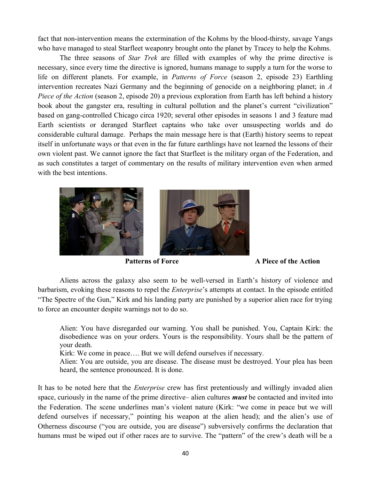fact that non-intervention means the extermination of the Kohms by the blood-thirsty, savage Yangs who have managed to steal Starfleet weaponry brought onto the planet by Tracey to help the Kohms.

The three seasons of *Star Trek* are filled with examples of why the prime directive is necessary, since every time the directive is ignored, humans manage to supply a turn for the worse to life on different planets. For example, in *Patterns of Force* (season 2, episode 23) Earthling intervention recreates Nazi Germany and the beginning of genocide on a neighboring planet; in *A Piece of the Action* (season 2, episode 20) a previous exploration from Earth has left behind a history book about the gangster era, resulting in cultural pollution and the planet's current "civilization" based on gang-controlled Chicago circa 1920; several other episodes in seasons 1 and 3 feature mad Earth scientists or deranged Starfleet captains who take over unsuspecting worlds and do considerable cultural damage. Perhaps the main message here is that (Earth) history seems to repeat itself in unfortunate ways or that even in the far future earthlings have not learned the lessons of their own violent past. We cannot ignore the fact that Starfleet is the military organ of the Federation, and as such constitutes a target of commentary on the results of military intervention even when armed with the best intentions.





**Patterns of Force** A Piece of the Action

Aliens across the galaxy also seem to be well-versed in Earth's history of violence and barbarism, evoking these reasons to repel the *Enterprise*'s attempts at contact. In the episode entitled "The Spectre of the Gun," Kirk and his landing party are punished by a superior alien race for trying to force an encounter despite warnings not to do so.

Alien: You have disregarded our warning. You shall be punished. You, Captain Kirk: the disobedience was on your orders. Yours is the responsibility. Yours shall be the pattern of your death.

Kirk: We come in peace…. But we will defend ourselves if necessary.

Alien: You are outside, you are disease. The disease must be destroyed. Your plea has been heard, the sentence pronounced. It is done.

It has to be noted here that the *Enterprise* crew has first pretentiously and willingly invaded alien space, curiously in the name of the prime directive– alien cultures *must* be contacted and invited into the Federation. The scene underlines man's violent nature (Kirk: "we come in peace but we will defend ourselves if necessary," pointing his weapon at the alien head); and the alien's use of Otherness discourse ("you are outside, you are disease") subversively confirms the declaration that humans must be wiped out if other races are to survive. The "pattern" of the crew's death will be a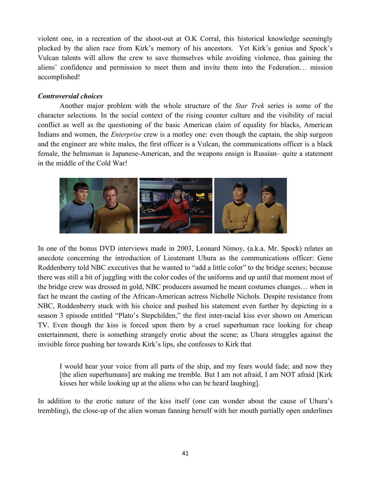violent one, in a recreation of the shoot-out at O.K Corral, this historical knowledge seemingly plucked by the alien race from Kirk's memory of his ancestors. Yet Kirk's genius and Spock's Vulcan talents will allow the crew to save themselves while avoiding violence, thus gaining the aliens' confidence and permission to meet them and invite them into the Federation… mission accomplished!

### *Controversial choices*

Another major problem with the whole structure of the *Star Trek* series is some of the character selections. In the social context of the rising counter culture and the visibility of racial conflict as well as the questioning of the basic American claim of equality for blacks, American Indians and women, the *Enterprise* crew is a motley one: even though the captain, the ship surgeon and the engineer are white males, the first officer is a Vulcan, the communications officer is a black female, the helmsman is Japanese-American, and the weapons ensign is Russian– quite a statement in the middle of the Cold War!



In one of the bonus DVD interviews made in 2003, Leonard Nimoy, (a.k.a. Mr. Spock) relates an anecdote concerning the introduction of Lieutenant Uhura as the communications officer: Gene Roddenberry told NBC executives that he wanted to "add a little color" to the bridge scenes; because there was still a bit of juggling with the color codes of the uniforms and up until that moment most of the bridge crew was dressed in gold, NBC producers assumed he meant costumes changes… when in fact he meant the casting of the African-American actress Nichelle Nichols. Despite resistance from NBC, Roddenberry stuck with his choice and pushed his statement even further by depicting in a season 3 episode entitled "Plato's Stepchilden," the first inter-racial kiss ever shown on American TV. Even though the kiss is forced upon them by a cruel superhuman race looking for cheap entertainment, there is something strangely erotic about the scene; as Uhura struggles against the invisible force pushing her towards Kirk's lips, she confesses to Kirk that

I would hear your voice from all parts of the ship, and my fears would fade; and now they [the alien superhumans] are making me tremble. But I am not afraid, I am NOT afraid [Kirk kisses her while looking up at the aliens who can be heard laughing].

In addition to the erotic nature of the kiss itself (one can wonder about the cause of Uhura's trembling), the close-up of the alien woman fanning herself with her mouth partially open underlines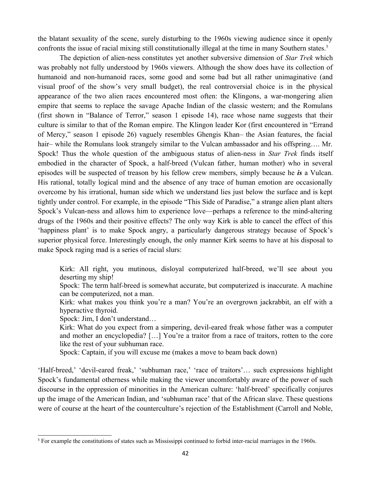the blatant sexuality of the scene, surely disturbing to the 1960s viewing audience since it openly confronts the issue of racial mixing still constitutionally illegal at the time in many Southern states.<sup>[5](#page-4-0)</sup>

The depiction of alien-ness constitutes yet another subversive dimension of *Star Trek* which was probably not fully understood by 1960s viewers. Although the show does have its collection of humanoid and non-humanoid races, some good and some bad but all rather unimaginative (and visual proof of the show's very small budget), the real controversial choice is in the physical appearance of the two alien races encountered most often: the Klingons, a war-mongering alien empire that seems to replace the savage Apache Indian of the classic western; and the Romulans (first shown in "Balance of Terror," season 1 episode 14), race whose name suggests that their culture is similar to that of the Roman empire. The Klingon leader Kor (first encountered in "Errand of Mercy," season 1 episode 26) vaguely resembles Ghengis Khan– the Asian features, the facial hair– while the Romulans look strangely similar to the Vulcan ambassador and his offspring.... Mr. Spock! Thus the whole question of the ambiguous status of alien-ness in *Star Trek* finds itself embodied in the character of Spock, a half-breed (Vulcan father, human mother) who in several episodes will be suspected of treason by his fellow crew members, simply because he *is* a Vulcan. His rational, totally logical mind and the absence of any trace of human emotion are occasionally overcome by his irrational, human side which we understand lies just below the surface and is kept tightly under control. For example, in the episode "This Side of Paradise," a strange alien plant alters Spock's Vulcan-ness and allows him to experience love—perhaps a reference to the mind-altering drugs of the 1960s and their positive effects? The only way Kirk is able to cancel the effect of this 'happiness plant' is to make Spock angry, a particularly dangerous strategy because of Spock's superior physical force. Interestingly enough, the only manner Kirk seems to have at his disposal to make Spock raging mad is a series of racial slurs:

Kirk: All right, you mutinous, disloyal computerized half-breed, we'll see about you deserting my ship!

- Spock: The term half-breed is somewhat accurate, but computerized is inaccurate. A machine can be computerized, not a man.
- Kirk: what makes you think you're a man? You're an overgrown jackrabbit, an elf with a hyperactive thyroid.

Spock: Jim, I don't understand…

- Kirk: What do you expect from a simpering, devil-eared freak whose father was a computer and mother an encyclopedia? […] You're a traitor from a race of traitors, rotten to the core like the rest of your subhuman race.
- Spock: Captain, if you will excuse me (makes a move to beam back down)

'Half-breed,' 'devil-eared freak,' 'subhuman race,' 'race of traitors'… such expressions highlight Spock's fundamental otherness while making the viewer uncomfortably aware of the power of such discourse in the oppression of minorities in the American culture: 'half-breed' specifically conjures up the image of the American Indian, and 'subhuman race' that of the African slave. These questions were of course at the heart of the counterculture's rejection of the Establishment (Carroll and Noble,

<span id="page-4-0"></span><sup>&</sup>lt;sup>5</sup> For example the constitutions of states such as Mississippi continued to forbid inter-racial marriages in the 1960s.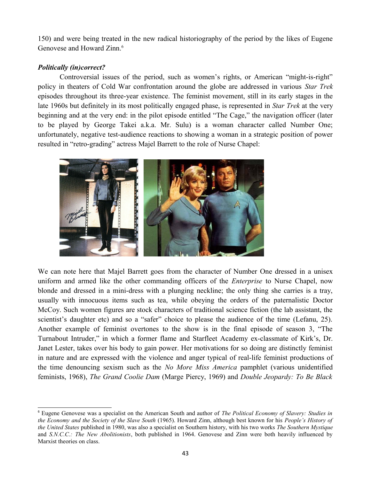150) and were being treated in the new radical historiography of the period by the likes of Eugene Genovese and Howard Zinn.<sup>[6](#page-5-0)</sup>

# *Politically (in)correct?*

Controversial issues of the period, such as women's rights, or American "might-is-right" policy in theaters of Cold War confrontation around the globe are addressed in various *Star Trek* episodes throughout its three-year existence. The feminist movement, still in its early stages in the late 1960s but definitely in its most politically engaged phase, is represented in *Star Trek* at the very beginning and at the very end: in the pilot episode entitled "The Cage," the navigation officer (later to be played by George Takei a.k.a. Mr. Sulu) is a woman character called Number One; unfortunately, negative test-audience reactions to showing a woman in a strategic position of power resulted in "retro-grading" actress Majel Barrett to the role of Nurse Chapel:



We can note here that Majel Barrett goes from the character of Number One dressed in a unisex uniform and armed like the other commanding officers of the *Enterprise* to Nurse Chapel, now blonde and dressed in a mini-dress with a plunging neckline; the only thing she carries is a tray, usually with innocuous items such as tea, while obeying the orders of the paternalistic Doctor McCoy. Such women figures are stock characters of traditional science fiction (the lab assistant, the scientist's daughter etc) and so a "safer" choice to please the audience of the time (Lefanu, 25). Another example of feminist overtones to the show is in the final episode of season 3, "The Turnabout Intruder," in which a former flame and Starfleet Academy ex-classmate of Kirk's, Dr. Janet Lester, takes over his body to gain power. Her motivations for so doing are distinctly feminist in nature and are expressed with the violence and anger typical of real-life feminist productions of the time denouncing sexism such as the *No More Miss America* pamphlet (various unidentified feminists, 1968), *The Grand Coolie Dam* (Marge Piercy, 1969) and *Double Jeopardy: To Be Black*

<span id="page-5-0"></span><sup>6</sup> Eugene Genovese was a specialist on the American South and author of *The Political Economy of Slavery: Studies in the Economy and the Society of the Slave South* (1965). Howard Zinn, although best known for his *People's History of the United States* published in 1980, was also a specialist on Southern history, with his two works *The Southern Mystique* and *S.N.C.C.: The New Abolitionists*, both published in 1964. Genovese and Zinn were both heavily influenced by Marxist theories on class.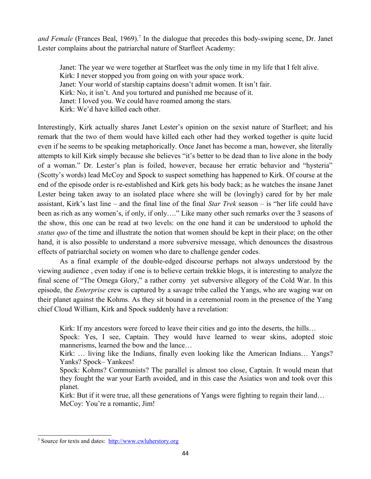and Female (Frances Beal, 1969).<sup>[7](#page-6-0)</sup> In the dialogue that precedes this body-swiping scene, Dr. Janet Lester complains about the patriarchal nature of Starfleet Academy:

Janet: The year we were together at Starfleet was the only time in my life that I felt alive. Kirk: I never stopped you from going on with your space work. Janet: Your world of starship captains doesn't admit women. It isn't fair. Kirk: No, it isn't. And you tortured and punished me because of it. Janet: I loved you. We could have roamed among the stars. Kirk: We'd have killed each other.

Interestingly, Kirk actually shares Janet Lester's opinion on the sexist nature of Starfleet; and his remark that the two of them would have killed each other had they worked together is quite lucid even if he seems to be speaking metaphorically. Once Janet has become a man, however, she literally attempts to kill Kirk simply because she believes "it's better to be dead than to live alone in the body of a woman." Dr. Lester's plan is foiled, however, because her erratic behavior and "hysteria" (Scotty's words) lead McCoy and Spock to suspect something has happened to Kirk. Of course at the end of the episode order is re-established and Kirk gets his body back; as he watches the insane Janet Lester being taken away to an isolated place where she will be (lovingly) cared for by her male assistant, Kirk's last line – and the final line of the final *Star Trek* season – is "her life could have been as rich as any women's, if only, if only…." Like many other such remarks over the 3 seasons of the show, this one can be read at two levels: on the one hand it can be understood to uphold the *status quo* of the time and illustrate the notion that women should be kept in their place; on the other hand, it is also possible to understand a more subversive message, which denounces the disastrous effects of patriarchal society on women who dare to challenge gender codes.

As a final example of the double-edged discourse perhaps not always understood by the viewing audience , even today if one is to believe certain trekkie blogs, it is interesting to analyze the final scene of "The Omega Glory," a rather corny yet subversive allegory of the Cold War. In this episode, the *Enterprise* crew is captured by a savage tribe called the Yangs, who are waging war on their planet against the Kohms. As they sit bound in a ceremonial room in the presence of the Yang chief Cloud William, Kirk and Spock suddenly have a revelation:

Kirk: If my ancestors were forced to leave their cities and go into the deserts, the hills…

Spock: Yes, I see, Captain. They would have learned to wear skins, adopted stoic mannerisms, learned the bow and the lance…

Kirk: ... living like the Indians, finally even looking like the American Indians... Yangs? Yanks? Spock– Yankees!

Spock: Kohms? Communists? The parallel is almost too close, Captain. It would mean that they fought the war your Earth avoided, and in this case the Asiatics won and took over this planet.

Kirk: But if it were true, all these generations of Yangs were fighting to regain their land... McCoy: You're a romantic, Jim!

<span id="page-6-0"></span><sup>&</sup>lt;sup>7</sup> Source for texts and dates: [http://www.cwluherstory.org](http://www.cwluherstory.org/)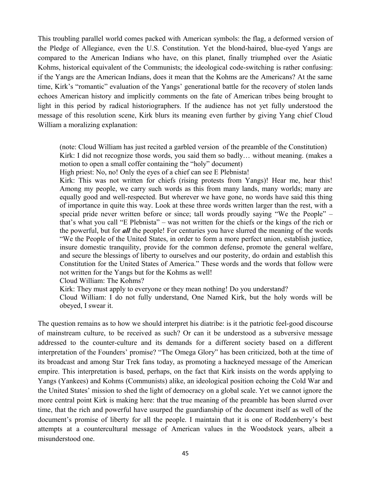This troubling parallel world comes packed with American symbols: the flag, a deformed version of the Pledge of Allegiance, even the U.S. Constitution. Yet the blond-haired, blue-eyed Yangs are compared to the American Indians who have, on this planet, finally triumphed over the Asiatic Kohms, historical equivalent of the Communists; the ideological code-switching is rather confusing: if the Yangs are the American Indians, does it mean that the Kohms are the Americans? At the same time, Kirk's "romantic" evaluation of the Yangs' generational battle for the recovery of stolen lands echoes American history and implicitly comments on the fate of American tribes being brought to light in this period by radical historiographers. If the audience has not yet fully understood the message of this resolution scene, Kirk blurs its meaning even further by giving Yang chief Cloud William a moralizing explanation:

(note: Cloud William has just recited a garbled version of the preamble of the Constitution) Kirk: I did not recognize those words, you said them so badly... without meaning. (makes a motion to open a small coffer containing the "holy" document)

High priest: No, no! Only the eyes of a chief can see E Plebnista!

Kirk: This was not written for chiefs (rising protests from Yangs)! Hear me, hear this! Among my people, we carry such words as this from many lands, many worlds; many are equally good and well-respected. But wherever we have gone, no words have said this thing of importance in quite this way. Look at these three words written larger than the rest, with a special pride never written before or since; tall words proudly saying "We the People" – that's what you call "E Plebnista" – was not written for the chiefs or the kings of the rich or the powerful, but for *all* the people! For centuries you have slurred the meaning of the words "We the People of the United States, in order to form a more perfect union, establish justice, insure domestic tranquility, provide for the common defense, promote the general welfare, and secure the blessings of liberty to ourselves and our posterity, do ordain and establish this Constitution for the United States of America." These words and the words that follow were not written for the Yangs but for the Kohms as well!

Cloud William: The Kohms?

Kirk: They must apply to everyone or they mean nothing! Do you understand?

Cloud William: I do not fully understand, One Named Kirk, but the holy words will be obeyed, I swear it.

The question remains as to how we should interpret his diatribe: is it the patriotic feel-good discourse of mainstream culture, to be received as such? Or can it be understood as a subversive message addressed to the counter-culture and its demands for a different society based on a different interpretation of the Founders' promise? "The Omega Glory" has been criticized, both at the time of its broadcast and among Star Trek fans today, as promoting a hackneyed message of the American empire. This interpretation is based, perhaps, on the fact that Kirk insists on the words applying to Yangs (Yankees) and Kohms (Communists) alike, an ideological position echoing the Cold War and the United States' mission to shed the light of democracy on a global scale. Yet we cannot ignore the more central point Kirk is making here: that the true meaning of the preamble has been slurred over time, that the rich and powerful have usurped the guardianship of the document itself as well of the document's promise of liberty for all the people. I maintain that it is one of Roddenberry's best attempts at a countercultural message of American values in the Woodstock years, albeit a misunderstood one.